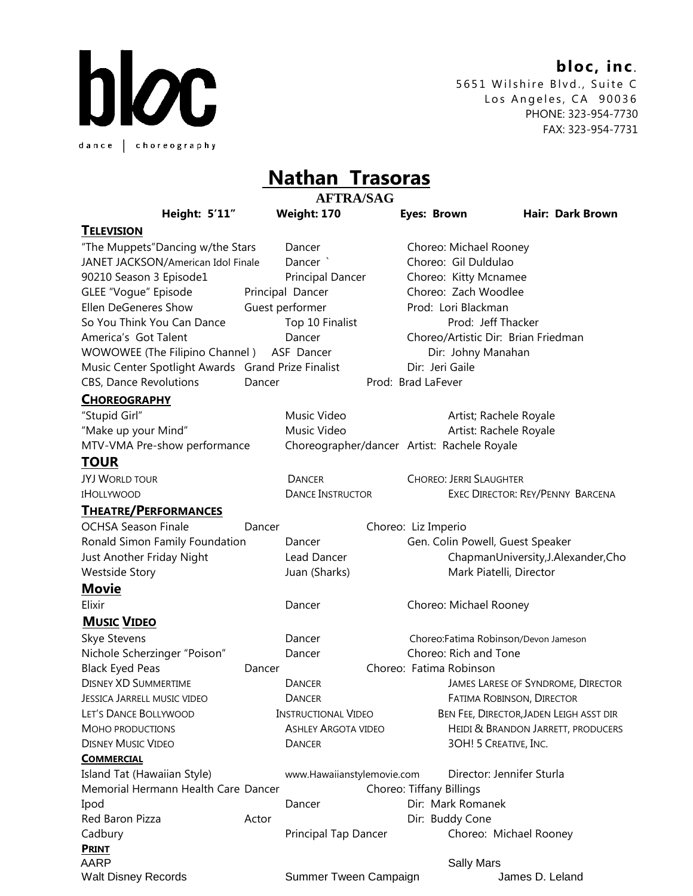## **bloc, inc**.



5651 Wilshire Blvd., Suite C Los Angeles, CA 90036 PHONE: 323-954-7730 FAX: 323-954-7731

## **Nathan Trasoras**

|                                                    | <b>AFTRA/SAG</b> |                                             |  |                                    |                                         |
|----------------------------------------------------|------------------|---------------------------------------------|--|------------------------------------|-----------------------------------------|
| <b>Height: 5'11"</b>                               |                  | <b>Weight: 170</b>                          |  | <b>Eyes: Brown</b>                 | <b>Hair: Dark Brown</b>                 |
| <b>TELEVISION</b>                                  |                  |                                             |  |                                    |                                         |
| "The Muppets"Dancing w/the Stars                   |                  | Dancer                                      |  | Choreo: Michael Rooney             |                                         |
| JANET JACKSON/American Idol Finale                 |                  | Dancer <sup>'</sup>                         |  | Choreo: Gil Duldulao               |                                         |
| 90210 Season 3 Episode1                            |                  | <b>Principal Dancer</b>                     |  | Choreo: Kitty Mcnamee              |                                         |
| GLEE "Vogue" Episode                               |                  | Principal Dancer                            |  | Choreo: Zach Woodlee               |                                         |
| Ellen DeGeneres Show                               |                  | Guest performer                             |  | Prod: Lori Blackman                |                                         |
| So You Think You Can Dance                         |                  | Top 10 Finalist                             |  |                                    | Prod: Jeff Thacker                      |
| America's Got Talent                               |                  | Dancer                                      |  |                                    | Choreo/Artistic Dir: Brian Friedman     |
| WOWOWEE (The Filipino Channel)                     |                  | ASF Dancer                                  |  | Dir: Johny Manahan                 |                                         |
| Music Center Spotlight Awards Grand Prize Finalist |                  |                                             |  | Dir: Jeri Gaile                    |                                         |
| <b>CBS, Dance Revolutions</b>                      | Dancer           |                                             |  | Prod: Brad LaFever                 |                                         |
| <b>CHOREOGRAPHY</b>                                |                  |                                             |  |                                    |                                         |
| "Stupid Girl"                                      |                  | Music Video                                 |  |                                    | Artist; Rachele Royale                  |
| "Make up your Mind"                                |                  | Music Video                                 |  |                                    | Artist: Rachele Royale                  |
| MTV-VMA Pre-show performance                       |                  | Choreographer/dancer Artist: Rachele Royale |  |                                    |                                         |
| <b>TOUR</b>                                        |                  |                                             |  |                                    |                                         |
| <b>JYJ WORLD TOUR</b>                              |                  | <b>DANCER</b>                               |  | <b>CHOREO: JERRI SLAUGHTER</b>     |                                         |
| <b>IHOLLYWOOD</b>                                  |                  | <b>DANCE INSTRUCTOR</b>                     |  |                                    | EXEC DIRECTOR: REY/PENNY BARCENA        |
| <b>THEATRE/PERFORMANCES</b>                        |                  |                                             |  |                                    |                                         |
| <b>OCHSA Season Finale</b>                         | Dancer           |                                             |  | Choreo: Liz Imperio                |                                         |
| Ronald Simon Family Foundation                     |                  | Dancer                                      |  |                                    | Gen. Colin Powell, Guest Speaker        |
| Just Another Friday Night                          |                  | Lead Dancer                                 |  |                                    | ChapmanUniversity, J.Alexander, Cho     |
| <b>Westside Story</b>                              |                  | Juan (Sharks)                               |  |                                    | Mark Piatelli, Director                 |
| <b>Movie</b>                                       |                  |                                             |  |                                    |                                         |
| Elixir                                             |                  | Dancer                                      |  | Choreo: Michael Rooney             |                                         |
| <b>MUSIC VIDEO</b>                                 |                  |                                             |  |                                    |                                         |
| Skye Stevens                                       |                  | Dancer                                      |  |                                    | Choreo:Fatima Robinson/Devon Jameson    |
| Nichole Scherzinger "Poison"                       |                  | Dancer                                      |  | Choreo: Rich and Tone              |                                         |
| <b>Black Eyed Peas</b>                             | Dancer           |                                             |  | Choreo: Fatima Robinson            |                                         |
| <b>DISNEY XD SUMMERTIME</b>                        |                  | <b>DANCER</b>                               |  |                                    | JAMES LARESE OF SYNDROME, DIRECTOR      |
| <b>JESSICA JARRELL MUSIC VIDEO</b>                 |                  | <b>DANCER</b>                               |  |                                    | FATIMA ROBINSON, DIRECTOR               |
| LET'S DANCE BOLLYWOOD                              |                  | <b>INSTRUCTIONAL VIDEO</b>                  |  |                                    | BEN FEE, DIRECTOR, JADEN LEIGH ASST DIR |
| MOHO PRODUCTIONS                                   |                  | <b>ASHLEY ARGOTA VIDEO</b>                  |  | HEIDI & BRANDON JARRETT, PRODUCERS |                                         |
| <b>DISNEY MUSIC VIDEO</b>                          |                  | <b>DANCER</b>                               |  |                                    | 3OH! 5 CREATIVE, INC.                   |
| <b>COMMERCIAL</b>                                  |                  |                                             |  |                                    |                                         |
| Island Tat (Hawaiian Style)                        |                  | www.Hawaiianstylemovie.com                  |  |                                    | Director: Jennifer Sturla               |
| Memorial Hermann Health Care Dancer                |                  |                                             |  | Choreo: Tiffany Billings           |                                         |
| Ipod                                               |                  | Dancer                                      |  | Dir: Mark Romanek                  |                                         |
| Red Baron Pizza                                    | Actor            |                                             |  | Dir: Buddy Cone                    |                                         |
| Cadbury                                            |                  | Principal Tap Dancer                        |  |                                    | Choreo: Michael Rooney                  |
| <b>PRINT</b>                                       |                  |                                             |  |                                    |                                         |
| AARP                                               |                  |                                             |  | <b>Sally Mars</b>                  |                                         |

Walt Disney Records **Summer Tween Campaign** James D. Leland